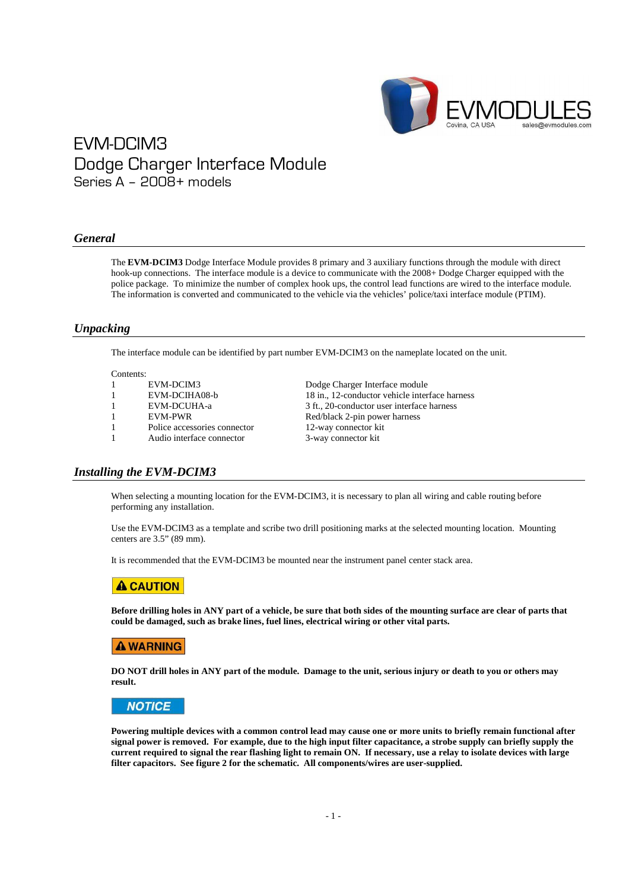

# EVM-DCIM3 Dodge Charger Interface Module Series A – 2008+ models

### *General*

The **EVM-DCIM3** Dodge Interface Module provides 8 primary and 3 auxiliary functions through the module with direct hook-up connections. The interface module is a device to communicate with the 2008+ Dodge Charger equipped with the police package. To minimize the number of complex hook ups, the control lead functions are wired to the interface module. The information is converted and communicated to the vehicle via the vehicles' police/taxi interface module (PTIM).

## *Unpacking*

The interface module can be identified by part number EVM-DCIM3 on the nameplate located on the unit.

Contents:

|   | EVM-DCIM3                    |
|---|------------------------------|
| 1 | EVM-DCIHA08-b                |
|   | EVM-DCUHA-a                  |
| 1 | EVM-PWR                      |
| ı | Police accessories connector |
| 1 | Audio interface connector    |

Dodge Charger Interface module 18 in., 12-conductor vehicle interface harness 3 ft., 20-conductor user interface harness Red/black 2-pin power harness or 12-way connector kit 3-way connector kit

## *Installing the EVM-DCIM3*

When selecting a mounting location for the EVM-DCIM3, it is necessary to plan all wiring and cable routing before performing any installation.

Use the EVM-DCIM3 as a template and scribe two drill positioning marks at the selected mounting location. Mounting centers are 3.5" (89 mm).

It is recommended that the EVM-DCIM3 be mounted near the instrument panel center stack area.

## **A CAUTION**

**Before drilling holes in ANY part of a vehicle, be sure that both sides of the mounting surface are clear of parts that could be damaged, such as brake lines, fuel lines, electrical wiring or other vital parts.** 

## **A WARNING**

**DO NOT drill holes in ANY part of the module. Damage to the unit, serious injury or death to you or others may result.**

## **NOTICE**

**Powering multiple devices with a common control lead may cause one or more units to briefly remain functional after signal power is removed. For example, due to the high input filter capacitance, a strobe supply can briefly supply the current required to signal the rear flashing light to remain ON. If necessary, use a relay to isolate devices with large filter capacitors. See figure 2 for the schematic. All components/wires are user-supplied.**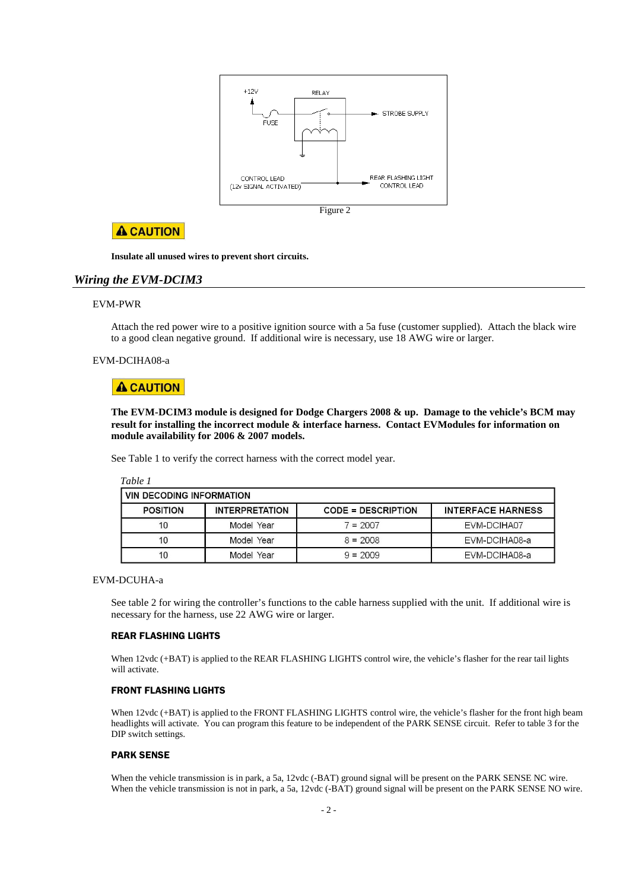

**A CAUTION** 

**Insulate all unused wires to prevent short circuits.** 

## *Wiring the EVM-DCIM3*

#### EVM-PWR

Attach the red power wire to a positive ignition source with a 5a fuse (customer supplied). Attach the black wire to a good clean negative ground. If additional wire is necessary, use 18 AWG wire or larger.

#### EVM-DCIHA08-a

## **A CAUTION**

**The EVM-DCIM3 module is designed for Dodge Chargers 2008 & up. Damage to the vehicle's BCM may result for installing the incorrect module & interface harness. Contact EVModules for information on module availability for 2006 & 2007 models.**

See Table 1 to verify the correct harness with the correct model year.

| <b>VIN DECODING INFORMATION</b> |                       |                           |                          |  |
|---------------------------------|-----------------------|---------------------------|--------------------------|--|
| <b>POSITION</b>                 | <b>INTERPRETATION</b> | <b>CODE = DESCRIPTION</b> | <b>INTERFACE HARNESS</b> |  |
|                                 | Model Year            | $7 = 2007$                | <b>EVM-DCIHA07</b>       |  |
| 10                              | Model Year            | $8 = 2008$                | EVM-DCIHA08-a            |  |
| 10                              | Model Year            | $9 = 2009$                | EVM-DCIHA08-a            |  |

#### EVM-DCUHA-a

See table 2 for wiring the controller's functions to the cable harness supplied with the unit. If additional wire is necessary for the harness, use 22 AWG wire or larger.

#### REAR FLASHING LIGHTS

When 12vdc (+BAT) is applied to the REAR FLASHING LIGHTS control wire, the vehicle's flasher for the rear tail lights will activate.

## FRONT FLASHING LIGHTS

When  $12$ vdc (+BAT) is applied to the FRONT FLASHING LIGHTS control wire, the vehicle's flasher for the front high beam headlights will activate. You can program this feature to be independent of the PARK SENSE circuit. Refer to table 3 for the DIP switch settings.

#### PARK SENSE

When the vehicle transmission is in park, a 5a, 12vdc (-BAT) ground signal will be present on the PARK SENSE NC wire. When the vehicle transmission is not in park, a 5a, 12vdc (-BAT) ground signal will be present on the PARK SENSE NO wire.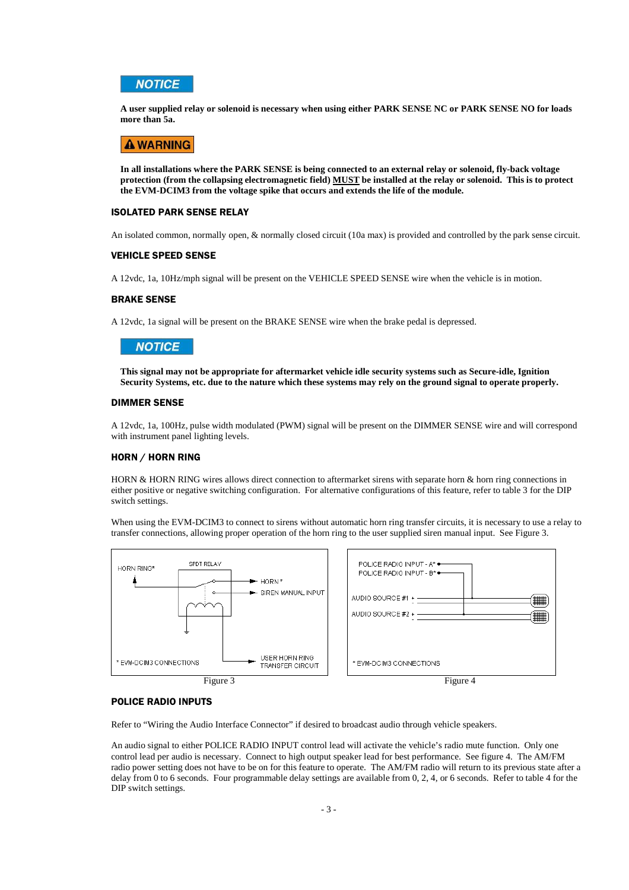

**A user supplied relay or solenoid is necessary when using either PARK SENSE NC or PARK SENSE NO for loads more than 5a.** 

### **A WARNING**

**In all installations where the PARK SENSE is being connected to an external relay or solenoid, fly-back voltage protection (from the collapsing electromagnetic field) MUST be installed at the relay or solenoid. This is to protect the EVM-DCIM3 from the voltage spike that occurs and extends the life of the module.** 

#### ISOLATED PARK SENSE RELAY

An isolated common, normally open, & normally closed circuit (10a max) is provided and controlled by the park sense circuit.

#### VEHICLE SPEED SENSE

A 12vdc, 1a, 10Hz/mph signal will be present on the VEHICLE SPEED SENSE wire when the vehicle is in motion.

#### BRAKE SENSE

A 12vdc, 1a signal will be present on the BRAKE SENSE wire when the brake pedal is depressed.

## **NOTICE**

**This signal may not be appropriate for aftermarket vehicle idle security systems such as Secure-idle, Ignition Security Systems, etc. due to the nature which these systems may rely on the ground signal to operate properly.** 

#### DIMMER SENSE

A 12vdc, 1a, 100Hz, pulse width modulated (PWM) signal will be present on the DIMMER SENSE wire and will correspond with instrument panel lighting levels.

#### HORN / HORN RING

HORN & HORN RING wires allows direct connection to aftermarket sirens with separate horn & horn ring connections in either positive or negative switching configuration. For alternative configurations of this feature, refer to table 3 for the DIP switch settings.

When using the EVM-DCIM3 to connect to sirens without automatic horn ring transfer circuits, it is necessary to use a relay to transfer connections, allowing proper operation of the horn ring to the user supplied siren manual input. See Figure 3.



#### POLICE RADIO INPUTS

Refer to "Wiring the Audio Interface Connector" if desired to broadcast audio through vehicle speakers.

An audio signal to either POLICE RADIO INPUT control lead will activate the vehicle's radio mute function. Only one control lead per audio is necessary. Connect to high output speaker lead for best performance. See figure 4. The AM/FM radio power setting does not have to be on for this feature to operate. The AM/FM radio will return to its previous state after a delay from 0 to 6 seconds. Four programmable delay settings are available from 0, 2, 4, or 6 seconds. Refer to table 4 for the DIP switch settings.